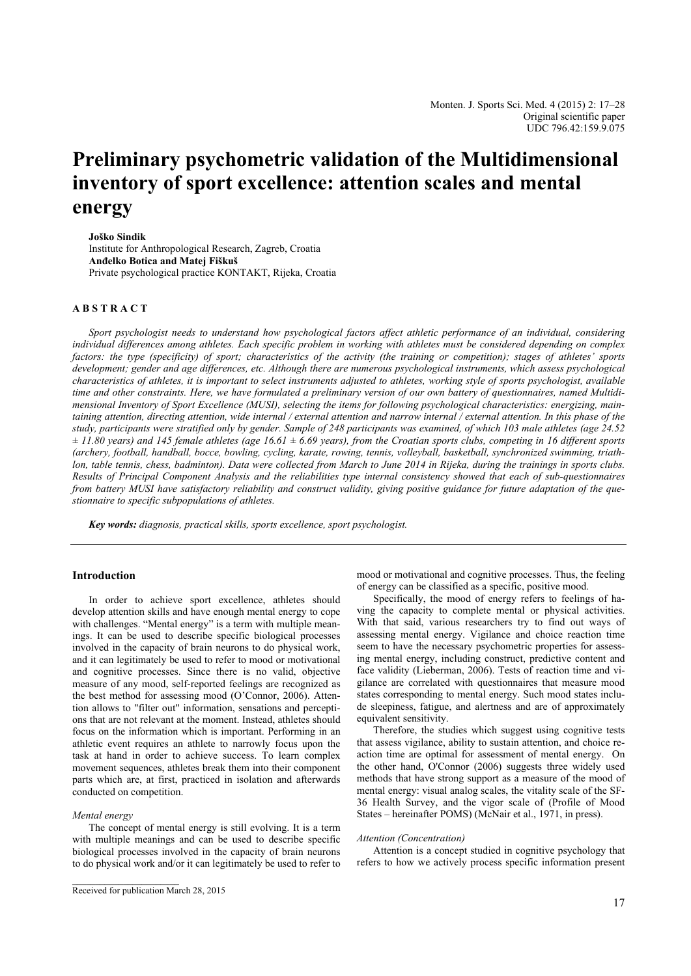# **Preliminary psychometric validation of the Multidimensional inventory of sport excellence: attention scales and mental energy**

**Joško Sindik** 

Institute for Anthropological Research, Zagreb, Croatia **Anđelko Botica and Matej Fiškuš**  Private psychological practice KONTAKT, Rijeka, Croatia

## **A B S T R A C T**

*Sport psychologist needs to understand how psychological factors affect athletic performance of an individual, considering individual differences among athletes. Each specific problem in working with athletes must be considered depending on complex factors: the type (specificity) of sport; characteristics of the activity (the training or competition); stages of athletes' sports development; gender and age differences, etc. Although there are numerous psychological instruments, which assess psychological characteristics of athletes, it is important to select instruments adjusted to athletes, working style of sports psychologist, available time and other constraints. Here, we have formulated a preliminary version of our own battery of questionnaires, named Multidimensional Inventory of Sport Excellence (MUSI), selecting the items for following psychological characteristics: energizing, maintaining attention, directing attention, wide internal / external attention and narrow internal / external attention. In this phase of the study, participants were stratified only by gender. Sample of 248 participants was examined, of which 103 male athletes (age 24.52*   $\pm$  11.80 years) and 145 female athletes (age 16.61  $\pm$  6.69 years), from the Croatian sports clubs, competing in 16 different sports *(archery, football, handball, bocce, bowling, cycling, karate, rowing, tennis, volleyball, basketball, synchronized swimming, triathlon, table tennis, chess, badminton). Data were collected from March to June 2014 in Rijeka, during the trainings in sports clubs. Results of Principal Component Analysis and the reliabilities type internal consistency showed that each of sub-questionnaires from battery MUSI have satisfactory reliability and construct validity, giving positive guidance for future adaptation of the questionnaire to specific subpopulations of athletes.* 

*Key words: diagnosis, practical skills, sports excellence, sport psychologist.* 

# **Introduction**

In order to achieve sport excellence, athletes should develop attention skills and have enough mental energy to cope with challenges. "Mental energy" is a term with multiple meanings. It can be used to describe specific biological processes involved in the capacity of brain neurons to do physical work, and it can legitimately be used to refer to mood or motivational and cognitive processes. Since there is no valid, objective measure of any mood, self-reported feelings are recognized as the best method for assessing mood (O'Connor, 2006). Attention allows to "filter out" information, sensations and perceptions that are not relevant at the moment. Instead, athletes should focus on the information which is important. Performing in an athletic event requires an athlete to narrowly focus upon the task at hand in order to achieve success. To learn complex movement sequences, athletes break them into their component parts which are, at first, practiced in isolation and afterwards conducted on competition.

#### *Mental energy*

The concept of mental energy is still evolving. It is a term with multiple meanings and can be used to describe specific biological processes involved in the capacity of brain neurons to do physical work and/or it can legitimately be used to refer to

\_\_\_\_\_\_\_\_\_\_\_\_\_\_\_\_\_\_\_\_\_\_\_

mood or motivational and cognitive processes. Thus, the feeling of energy can be classified as a specific, positive mood.

Specifically, the mood of energy refers to feelings of having the capacity to complete mental or physical activities. With that said, various researchers try to find out ways of assessing mental energy. Vigilance and choice reaction time seem to have the necessary psychometric properties for assessing mental energy, including construct, predictive content and face validity (Lieberman, 2006). Tests of reaction time and vigilance are correlated with questionnaires that measure mood states corresponding to mental energy. Such mood states include sleepiness, fatigue, and alertness and are of approximately equivalent sensitivity.

Therefore, the studies which suggest using cognitive tests that assess vigilance, ability to sustain attention, and choice reaction time are optimal for assessment of mental energy. On the other hand, O'Connor (2006) suggests three widely used methods that have strong support as a measure of the mood of mental energy: visual analog scales, the vitality scale of the SF-36 Health Survey, and the vigor scale of (Profile of Mood States – hereinafter POMS) (McNair et al., 1971, in press).

#### *Attention (Concentration)*

Attention is a concept studied in cognitive psychology that refers to how we actively process specific information present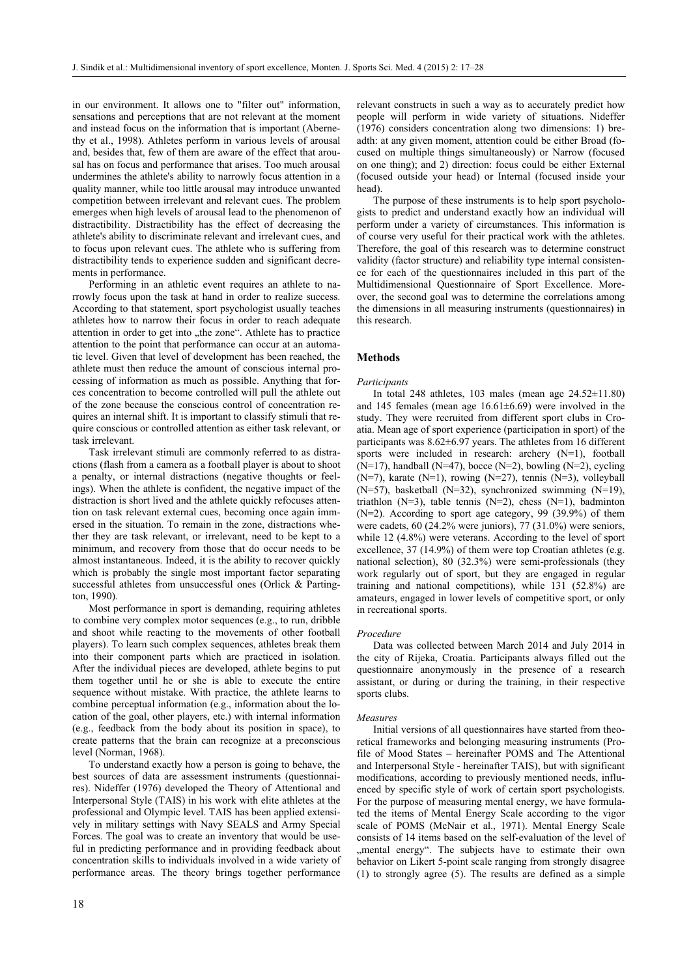in our environment. It allows one to "filter out" information, sensations and perceptions that are not relevant at the moment and instead focus on the information that is important (Abernethy et al., 1998). Athletes perform in various levels of arousal and, besides that, few of them are aware of the effect that arousal has on focus and performance that arises. Too much arousal undermines the athlete's ability to narrowly focus attention in a quality manner, while too little arousal may introduce unwanted competition between irrelevant and relevant cues. The problem emerges when high levels of arousal lead to the phenomenon of distractibility. Distractibility has the effect of decreasing the athlete's ability to discriminate relevant and irrelevant cues, and to focus upon relevant cues. The athlete who is suffering from distractibility tends to experience sudden and significant decrements in performance.

Performing in an athletic event requires an athlete to narrowly focus upon the task at hand in order to realize success. According to that statement, sport psychologist usually teaches athletes how to narrow their focus in order to reach adequate attention in order to get into "the zone". Athlete has to practice attention to the point that performance can occur at an automatic level. Given that level of development has been reached, the athlete must then reduce the amount of conscious internal processing of information as much as possible. Anything that forces concentration to become controlled will pull the athlete out of the zone because the conscious control of concentration requires an internal shift. It is important to classify stimuli that require conscious or controlled attention as either task relevant, or task irrelevant.

Task irrelevant stimuli are commonly referred to as distractions (flash from a camera as a football player is about to shoot a penalty, or internal distractions (negative thoughts or feelings). When the athlete is confident, the negative impact of the distraction is short lived and the athlete quickly refocuses attention on task relevant external cues, becoming once again immersed in the situation. To remain in the zone, distractions whether they are task relevant, or irrelevant, need to be kept to a minimum, and recovery from those that do occur needs to be almost instantaneous. Indeed, it is the ability to recover quickly which is probably the single most important factor separating successful athletes from unsuccessful ones (Orlick & Partington, 1990).

Most performance in sport is demanding, requiring athletes to combine very complex motor sequences (e.g., to run, dribble and shoot while reacting to the movements of other football players). To learn such complex sequences, athletes break them into their component parts which are practiced in isolation. After the individual pieces are developed, athlete begins to put them together until he or she is able to execute the entire sequence without mistake. With practice, the athlete learns to combine perceptual information (e.g., information about the location of the goal, other players, etc.) with internal information (e.g., feedback from the body about its position in space), to create patterns that the brain can recognize at a preconscious level (Norman, 1968).

To understand exactly how a person is going to behave, the best sources of data are assessment instruments (questionnaires). Nideffer (1976) developed the Theory of Attentional and Interpersonal Style (TAIS) in his work with elite athletes at the professional and Olympic level. TAIS has been applied extensively in military settings with Navy SEALS and Army Special Forces. The goal was to create an inventory that would be useful in predicting performance and in providing feedback about concentration skills to individuals involved in a wide variety of performance areas. The theory brings together performance relevant constructs in such a way as to accurately predict how people will perform in wide variety of situations. Nideffer (1976) considers concentration along two dimensions: 1) breadth: at any given moment, attention could be either Broad (focused on multiple things simultaneously) or Narrow (focused on one thing); and 2) direction: focus could be either External (focused outside your head) or Internal (focused inside your head).

The purpose of these instruments is to help sport psychologists to predict and understand exactly how an individual will perform under a variety of circumstances. This information is of course very useful for their practical work with the athletes. Therefore, the goal of this research was to determine construct validity (factor structure) and reliability type internal consistence for each of the questionnaires included in this part of the Multidimensional Questionnaire of Sport Excellence. Moreover, the second goal was to determine the correlations among the dimensions in all measuring instruments (questionnaires) in this research.

#### **Methods**

#### *Participants*

In total 248 athletes, 103 males (mean age  $24.52\pm11.80$ ) and 145 females (mean age 16.61±6.69) were involved in the study. They were recruited from different sport clubs in Croatia. Mean age of sport experience (participation in sport) of the participants was 8.62±6.97 years. The athletes from 16 different sports were included in research: archery (N=1), football  $(N=17)$ , handball  $(N=47)$ , bocce  $(N=2)$ , bowling  $(N=2)$ , cycling  $(N=7)$ , karate  $(N=1)$ , rowing  $(N=27)$ , tennis  $(N=3)$ , volleyball (N=57), basketball (N=32), synchronized swimming (N=19), triathlon  $(N=3)$ , table tennis  $(N=2)$ , chess  $(N=1)$ , badminton (N=2). According to sport age category, 99 (39.9%) of them were cadets, 60 (24.2% were juniors), 77 (31.0%) were seniors, while 12 (4.8%) were veterans. According to the level of sport excellence, 37 (14.9%) of them were top Croatian athletes (e.g. national selection), 80 (32.3%) were semi-professionals (they work regularly out of sport, but they are engaged in regular training and national competitions), while 131 (52.8%) are amateurs, engaged in lower levels of competitive sport, or only in recreational sports.

#### *Procedure*

Data was collected between March 2014 and July 2014 in the city of Rijeka, Croatia. Participants always filled out the questionnaire anonymously in the presence of a research assistant, or during or during the training, in their respective sports clubs.

#### *Measures*

Initial versions of all questionnaires have started from theoretical frameworks and belonging measuring instruments (Profile of Mood States – hereinafter POMS and The Attentional and Interpersonal Style - hereinafter TAIS), but with significant modifications, according to previously mentioned needs, influenced by specific style of work of certain sport psychologists. For the purpose of measuring mental energy, we have formulated the items of Mental Energy Scale according to the vigor scale of POMS (McNair et al., 1971). Mental Energy Scale consists of 14 items based on the self-evaluation of the level of "mental energy". The subjects have to estimate their own behavior on Likert 5-point scale ranging from strongly disagree (1) to strongly agree (5). The results are defined as a simple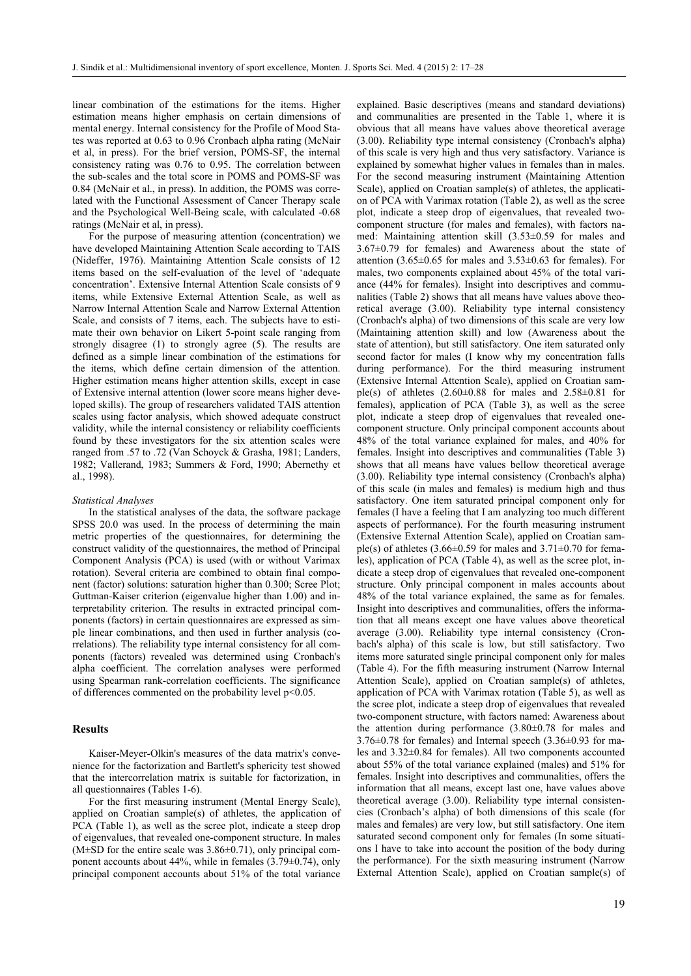linear combination of the estimations for the items. Higher estimation means higher emphasis on certain dimensions of mental energy. Internal consistency for the Profile of Mood States was reported at 0.63 to 0.96 Cronbach alpha rating (McNair et al, in press). For the brief version, POMS-SF, the internal consistency rating was 0.76 to 0.95. The correlation between the sub-scales and the total score in POMS and POMS-SF was 0.84 (McNair et al., in press). In addition, the POMS was correlated with the Functional Assessment of Cancer Therapy scale and the Psychological Well-Being scale, with calculated -0.68 ratings (McNair et al, in press).

For the purpose of measuring attention (concentration) we have developed Maintaining Attention Scale according to TAIS (Nideffer, 1976). Maintaining Attention Scale consists of 12 items based on the self-evaluation of the level of 'adequate concentration'. Extensive Internal Attention Scale consists of 9 items, while Extensive External Attention Scale, as well as Narrow Internal Attention Scale and Narrow External Attention Scale, and consists of 7 items, each. The subjects have to estimate their own behavior on Likert 5-point scale ranging from strongly disagree (1) to strongly agree (5). The results are defined as a simple linear combination of the estimations for the items, which define certain dimension of the attention. Higher estimation means higher attention skills, except in case of Extensive internal attention (lower score means higher developed skills). The group of researchers validated TAIS attention scales using factor analysis, which showed adequate construct validity, while the internal consistency or reliability coefficients found by these investigators for the six attention scales were ranged from .57 to .72 (Van Schoyck & Grasha, 1981; Landers, 1982; Vallerand, 1983; Summers & Ford, 1990; Abernethy et al., 1998).

## *Statistical Analyses*

In the statistical analyses of the data, the software package SPSS 20.0 was used. In the process of determining the main metric properties of the questionnaires, for determining the construct validity of the questionnaires, the method of Principal Component Analysis (PCA) is used (with or without Varimax rotation). Several criteria are combined to obtain final component (factor) solutions: saturation higher than 0.300; Scree Plot; Guttman-Kaiser criterion (eigenvalue higher than 1.00) and interpretability criterion. The results in extracted principal components (factors) in certain questionnaires are expressed as simple linear combinations, and then used in further analysis (correlations). The reliability type internal consistency for all components (factors) revealed was determined using Cronbach's alpha coefficient. The correlation analyses were performed using Spearman rank-correlation coefficients. The significance of differences commented on the probability level p<0.05.

## **Results**

Kaiser-Meyer-Olkin's measures of the data matrix's convenience for the factorization and Bartlett's sphericity test showed that the intercorrelation matrix is suitable for factorization, in all questionnaires (Tables 1-6).

For the first measuring instrument (Mental Energy Scale), applied on Croatian sample(s) of athletes, the application of PCA (Table 1), as well as the scree plot, indicate a steep drop of eigenvalues, that revealed one-component structure. In males  $(M\pm SD$  for the entire scale was 3.86 $\pm$ 0.71), only principal component accounts about 44%, while in females (3.79±0.74), only principal component accounts about 51% of the total variance explained. Basic descriptives (means and standard deviations) and communalities are presented in the Table 1, where it is obvious that all means have values above theoretical average (3.00). Reliability type internal consistency (Cronbach's alpha) of this scale is very high and thus very satisfactory. Variance is explained by somewhat higher values in females than in males. For the second measuring instrument (Maintaining Attention Scale), applied on Croatian sample(s) of athletes, the application of PCA with Varimax rotation (Table 2), as well as the scree plot, indicate a steep drop of eigenvalues, that revealed twocomponent structure (for males and females), with factors named: Maintaining attention skill (3.53±0.59 for males and 3.67±0.79 for females) and Awareness about the state of attention  $(3.65\pm0.65$  for males and  $3.53\pm0.63$  for females). For males, two components explained about 45% of the total variance (44% for females). Insight into descriptives and communalities (Table 2) shows that all means have values above theoretical average (3.00). Reliability type internal consistency (Cronbach's alpha) of two dimensions of this scale are very low (Maintaining attention skill) and low (Awareness about the state of attention), but still satisfactory. One item saturated only second factor for males (I know why my concentration falls during performance). For the third measuring instrument (Extensive Internal Attention Scale), applied on Croatian sample(s) of athletes  $(2.60\pm0.88)$  for males and  $2.58\pm0.81$  for females), application of PCA (Table 3), as well as the scree plot, indicate a steep drop of eigenvalues that revealed onecomponent structure. Only principal component accounts about 48% of the total variance explained for males, and 40% for females. Insight into descriptives and communalities (Table 3) shows that all means have values bellow theoretical average (3.00). Reliability type internal consistency (Cronbach's alpha) of this scale (in males and females) is medium high and thus satisfactory. One item saturated principal component only for females (I have a feeling that I am analyzing too much different aspects of performance). For the fourth measuring instrument (Extensive External Attention Scale), applied on Croatian sample(s) of athletes  $(3.66\pm0.59$  for males and  $3.71\pm0.70$  for females), application of PCA (Table 4), as well as the scree plot, indicate a steep drop of eigenvalues that revealed one-component structure. Only principal component in males accounts about 48% of the total variance explained, the same as for females. Insight into descriptives and communalities, offers the information that all means except one have values above theoretical average (3.00). Reliability type internal consistency (Cronbach's alpha) of this scale is low, but still satisfactory. Two items more saturated single principal component only for males (Table 4). For the fifth measuring instrument (Narrow Internal Attention Scale), applied on Croatian sample(s) of athletes, application of PCA with Varimax rotation (Table 5), as well as the scree plot, indicate a steep drop of eigenvalues that revealed two-component structure, with factors named: Awareness about the attention during performance  $(3.80\pm0.78)$  for males and 3.76±0.78 for females) and Internal speech (3.36±0.93 for males and 3.32±0.84 for females). All two components accounted about 55% of the total variance explained (males) and 51% for females. Insight into descriptives and communalities, offers the information that all means, except last one, have values above theoretical average (3.00). Reliability type internal consistencies (Cronbach's alpha) of both dimensions of this scale (for males and females) are very low, but still satisfactory. One item saturated second component only for females (In some situations I have to take into account the position of the body during the performance). For the sixth measuring instrument (Narrow External Attention Scale), applied on Croatian sample(s) of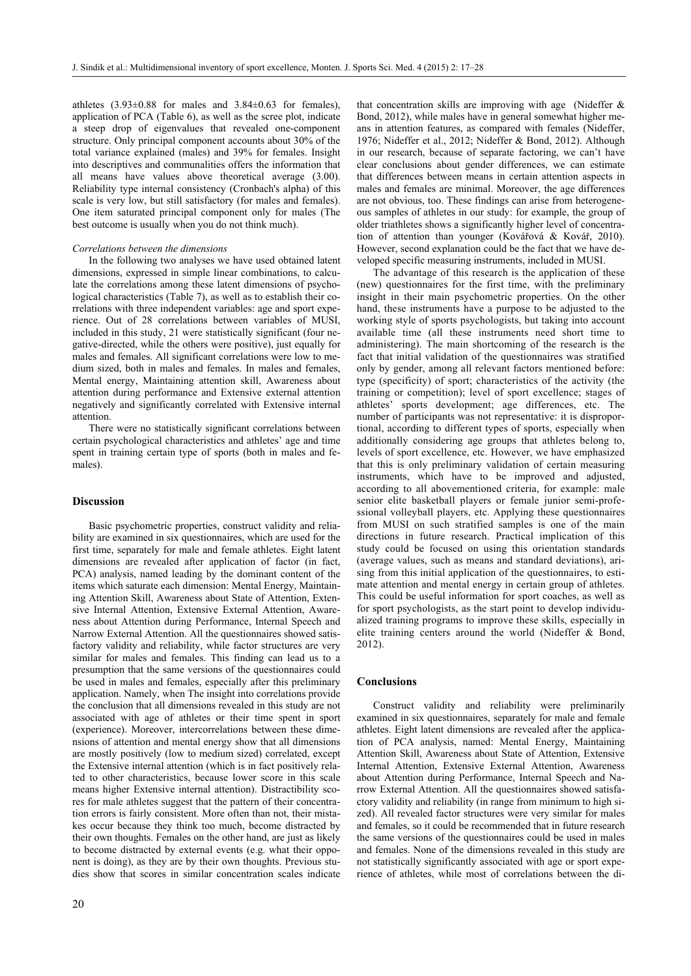athletes  $(3.93\pm0.88$  for males and  $3.84\pm0.63$  for females). application of PCA (Table 6), as well as the scree plot, indicate a steep drop of eigenvalues that revealed one-component structure. Only principal component accounts about 30% of the total variance explained (males) and 39% for females. Insight into descriptives and communalities offers the information that all means have values above theoretical average (3.00). Reliability type internal consistency (Cronbach's alpha) of this scale is very low, but still satisfactory (for males and females). One item saturated principal component only for males (The best outcome is usually when you do not think much).

#### *Correlations between the dimensions*

In the following two analyses we have used obtained latent dimensions, expressed in simple linear combinations, to calculate the correlations among these latent dimensions of psychological characteristics (Table 7), as well as to establish their correlations with three independent variables: age and sport experience. Out of 28 correlations between variables of MUSI, included in this study, 21 were statistically significant (four negative-directed, while the others were positive), just equally for males and females. All significant correlations were low to medium sized, both in males and females. In males and females, Mental energy, Maintaining attention skill, Awareness about attention during performance and Extensive external attention negatively and significantly correlated with Extensive internal attention.

There were no statistically significant correlations between certain psychological characteristics and athletes' age and time spent in training certain type of sports (both in males and females).

#### **Discussion**

Basic psychometric properties, construct validity and reliability are examined in six questionnaires, which are used for the first time, separately for male and female athletes. Eight latent dimensions are revealed after application of factor (in fact, PCA) analysis, named leading by the dominant content of the items which saturate each dimension: Mental Energy, Maintaining Attention Skill, Awareness about State of Attention, Extensive Internal Attention, Extensive External Attention, Awareness about Attention during Performance, Internal Speech and Narrow External Attention. All the questionnaires showed satisfactory validity and reliability, while factor structures are very similar for males and females. This finding can lead us to a presumption that the same versions of the questionnaires could be used in males and females, especially after this preliminary application. Namely, when The insight into correlations provide the conclusion that all dimensions revealed in this study are not associated with age of athletes or their time spent in sport (experience). Moreover, intercorrelations between these dimensions of attention and mental energy show that all dimensions are mostly positively (low to medium sized) correlated, except the Extensive internal attention (which is in fact positively related to other characteristics, because lower score in this scale means higher Extensive internal attention). Distractibility scores for male athletes suggest that the pattern of their concentration errors is fairly consistent. More often than not, their mistakes occur because they think too much, become distracted by their own thoughts. Females on the other hand, are just as likely to become distracted by external events (e.g. what their opponent is doing), as they are by their own thoughts. Previous studies show that scores in similar concentration scales indicate

that concentration skills are improving with age (Nideffer & Bond, 2012), while males have in general somewhat higher means in attention features, as compared with females (Nideffer, 1976; Nideffer et al., 2012; Nideffer & Bond, 2012). Although in our research, because of separate factoring, we can't have clear conclusions about gender differences, we can estimate that differences between means in certain attention aspects in males and females are minimal. Moreover, the age differences are not obvious, too. These findings can arise from heterogeneous samples of athletes in our study: for example, the group of older triathletes shows a significantly higher level of concentration of attention than younger (Kovářová & Kovář, 2010). However, second explanation could be the fact that we have developed specific measuring instruments, included in MUSI.

The advantage of this research is the application of these (new) questionnaires for the first time, with the preliminary insight in their main psychometric properties. On the other hand, these instruments have a purpose to be adjusted to the working style of sports psychologists, but taking into account available time (all these instruments need short time to administering). The main shortcoming of the research is the fact that initial validation of the questionnaires was stratified only by gender, among all relevant factors mentioned before: type (specificity) of sport; characteristics of the activity (the training or competition); level of sport excellence; stages of athletes' sports development; age differences, etc. The number of participants was not representative: it is disproportional, according to different types of sports, especially when additionally considering age groups that athletes belong to, levels of sport excellence, etc. However, we have emphasized that this is only preliminary validation of certain measuring instruments, which have to be improved and adjusted, according to all abovementioned criteria, for example: male senior elite basketball players or female junior semi-professional volleyball players, etc. Applying these questionnaires from MUSI on such stratified samples is one of the main directions in future research. Practical implication of this study could be focused on using this orientation standards (average values, such as means and standard deviations), arising from this initial application of the questionnaires, to estimate attention and mental energy in certain group of athletes. This could be useful information for sport coaches, as well as for sport psychologists, as the start point to develop individualized training programs to improve these skills, especially in elite training centers around the world (Nideffer & Bond, 2012).

## **Conclusions**

Construct validity and reliability were preliminarily examined in six questionnaires, separately for male and female athletes. Eight latent dimensions are revealed after the application of PCA analysis, named: Mental Energy, Maintaining Attention Skill, Awareness about State of Attention, Extensive Internal Attention, Extensive External Attention, Awareness about Attention during Performance, Internal Speech and Narrow External Attention. All the questionnaires showed satisfactory validity and reliability (in range from minimum to high sized). All revealed factor structures were very similar for males and females, so it could be recommended that in future research the same versions of the questionnaires could be used in males and females. None of the dimensions revealed in this study are not statistically significantly associated with age or sport experience of athletes, while most of correlations between the di-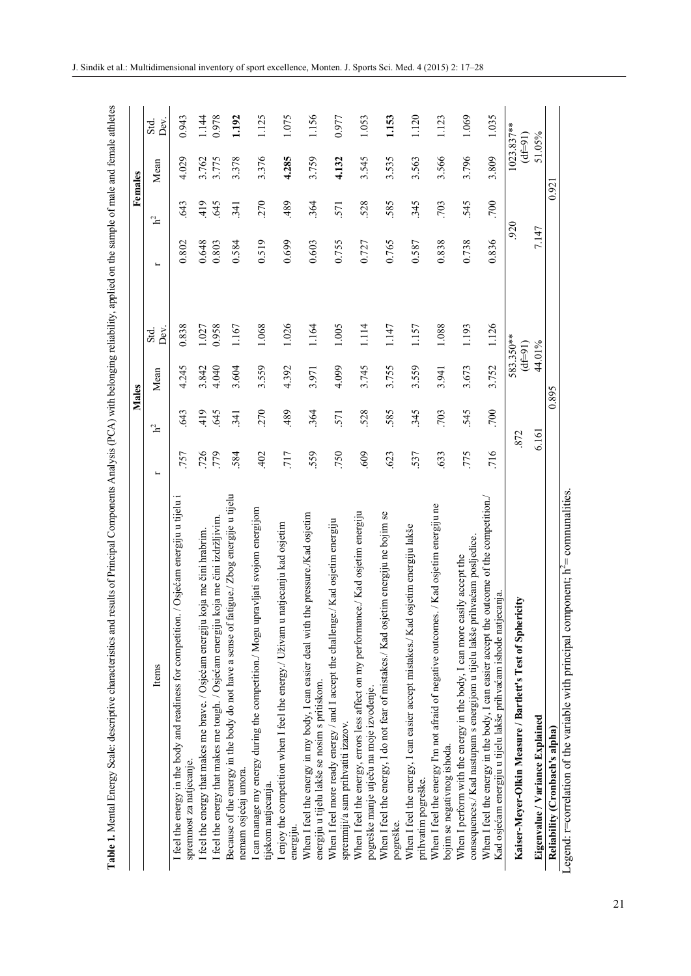|                                                                                                                                                               |                          |                | <b>Males</b> |                        |                          |                | Females |                       |
|---------------------------------------------------------------------------------------------------------------------------------------------------------------|--------------------------|----------------|--------------|------------------------|--------------------------|----------------|---------|-----------------------|
| Items                                                                                                                                                         | $\overline{\phantom{a}}$ | $\mathbf{h}^2$ | Mean         | Dev.<br>Std.           | $\overline{\phantom{a}}$ | $\mathbf{h}^2$ | Mean    | Dev<br>Std.           |
| I feel the energy in the body and readiness for competition. / Osjećam energiju u tijelu<br>spremnost za natjecanje.                                          | 757                      | 643            | 4.245        | 0.838                  | 0.802                    | 643            | 4.029   | 0.943                 |
| koja me čini hrabrim.<br>I feel the energy that makes me brave. / Osjećam energiju                                                                            | 726                      | 419            | 3.842        | 1.027                  | 0.648                    | 419            | 3.762   | 1.144                 |
| koja me čini izdržljivim<br>I feel the energy that makes me tough. / Osjećam energiju                                                                         | 779                      | 645            | 4.040        | 0.958                  | 0.803                    | 645            | 3.775   | 0.978                 |
| Because of the energy in the body do not have a sense of fatigue./ Zbog energije u tijelu<br>nemam osjećaj umora.                                             | 584                      | 341            | 3.604        | 1.167                  | 0.584                    | 341            | 3.378   | 1.192                 |
| I can manage my energy during the competition./ Mogu upravljati svojom energijom<br>tijekom natjecanja.                                                       | 402                      | 270            | 3.559        | 1.068                  | 0.519                    | 270            | 3.376   | 1.125                 |
| natjecanju kad osjetim<br>I enjoy the competition when I feel the energy./ Uživam u<br>energiju.                                                              | 717                      | 489            | 4.392        | 1.026                  | 0.699                    | 489            | 4.285   | 1.075                 |
| When I feel the energy in my body, I can easier deal with the pressure./Kad osjetim<br>energiju u tijelu lakše se nosim s pritiskom.                          | 559                      | 364            | 3.971        | 1.164                  | 0.603                    | 364            | 3.759   | 1.156                 |
| When I feel more ready energy / and I accept the challenge./ Kad osjetim energiju<br>spremniji/a sam prihvatiti izazov.                                       | .750                     | 571            | 4.099        | 1.005                  | 0.755                    | 571            | 4.132   | 0.977                 |
| When I feel the energy, errors less affect on my performance./ Kad osjetim energiju<br>pogreške manje utječu na moje izvođenje.                               | 609                      | 528            | 3.745        | 1.114                  | 0.727                    | 528            | 3.545   | 1.053                 |
| etim energiju ne bojim se<br>When I feel the energy, I do not fear of mistakes./ Kad osj<br>pogreške.                                                         | 623                      | 585            | 3.755        | 1.147                  | 0.765                    | 585            | 3.535   | 1.153                 |
| osjetim energiju lakše<br>When I feel the energy, I can easier accept mistakes./ Kad<br>prihvatim pogreške.                                                   | 537                      | 345            | 3.559        | 1.157                  | 0.587                    | 345            | 3.563   | 1.120                 |
| When I feel the energy I'm not afraid of negative outcomes. / Kad osjetim energiju ne<br>bojim se negativnog ishoda.                                          | 633                      | .703           | 3.941        | 1.088                  | 0.838                    | .703           | 3.566   | 1.123                 |
| consequences./ Kad nastupam s energijom u tijelu lakše prihvaćam posljedice.<br>When I perform with the energy in the body, I can more easily accept the      | 775                      | 545            | 3.673        | 1.193                  | 0.738                    | 545            | 3.796   | 1.069                 |
| outcome of the competition.<br>Kad osjećam energiju u tijelu lakše prihvaćam ishode natjecanja<br>When I feel the energy in the body, I can easier accept the | 716                      | 700            | 3.752        | 1.126                  | 0.836                    | 700            | 3.809   | 1.035                 |
| Kaiser-Meyer-Olkin Measure / Bartlett's Test of Sphericity                                                                                                    | 872                      |                |              | 583.350**<br>$(15=31)$ | 920                      |                |         | 1023.837**<br>$(1e=4$ |
| Eigenvalue / Variance Explained                                                                                                                               | 6.161                    |                |              | 44.01%                 | 7.147                    |                |         | 51.05%                |
| Reliability (Cronbach's alpha)                                                                                                                                |                          |                | 0.895        |                        |                          |                | 0.92    |                       |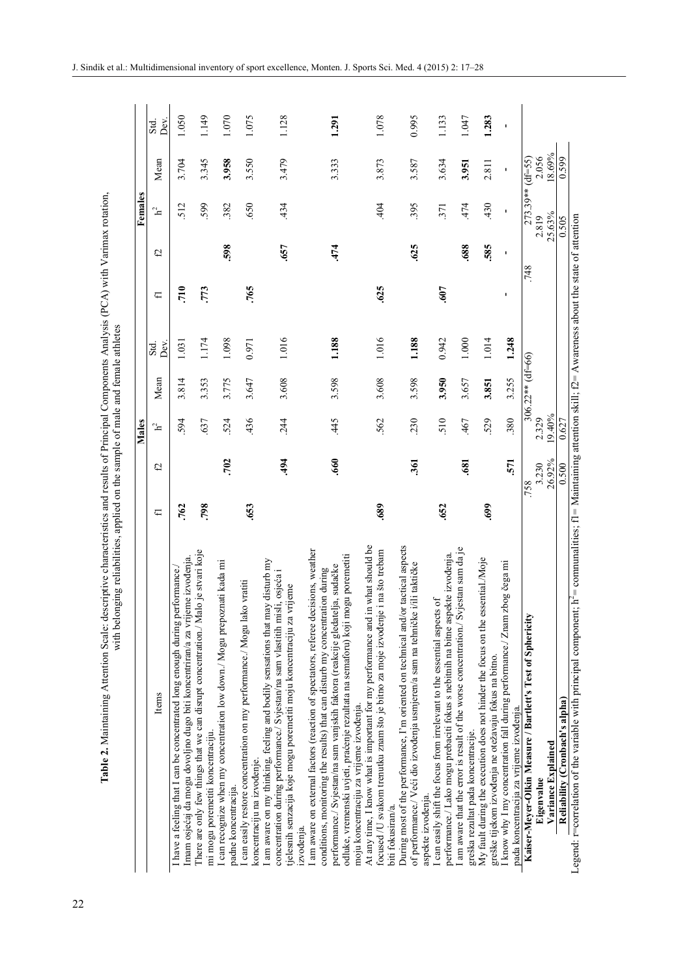|                                                                                                                                                                                                                                                      |                 | Males           |                    |              |      |      | Females            |                |              |
|------------------------------------------------------------------------------------------------------------------------------------------------------------------------------------------------------------------------------------------------------|-----------------|-----------------|--------------------|--------------|------|------|--------------------|----------------|--------------|
| Items                                                                                                                                                                                                                                                | £,<br>f         | $\mathbf{h}^2$  | Mean               | Dev.<br>Std. | ⊏    | e,   | ್ಷ                 | Mean           | Dev.<br>Std. |
| eme izvođenja.<br>I have a feeling that I can be concentrated long enough during performance.<br>Imam osjećaj da mogu dovoljno dugo biti koncentriran/a za vrij                                                                                      | .762            | 594             | 3.814              | 1.031        | 710  |      | 512                | 3.704          | 1.050        |
| alo je stvari koje<br>There are only few things that we can disrupt concentration./ M<br>mi mogu poremetiti koncentraciju.                                                                                                                           | 798             | 637             | 3.353              | 1.174        | .773 |      | 599                | 3.345          | 1.149        |
| I can recognize when my concentration low down./ Mogu prepoznati kada mi<br>padne koncentracija.                                                                                                                                                     | .702            | 524             | 3.775              | 1.098        |      | 598  | 382                | 3.958          | 1.070        |
| I can easily restore concentration on my performance./ Mogu lako vratiti<br>koncentraciju na izvođenje.                                                                                                                                              | 653             | 436             | 3.647              | 0.971        | .765 |      | 650                | 3.550          | 1.075        |
| I am aware on my thinking, feeling and bodily sensations that may disturb my<br>concentration during performance./ Svjestan/na sam vlastitih misli, osjeća i<br>tjelesnih senzacija koje mogu poremetiti moju koncentraciju za vrijeme<br>izvođenja. | 494             | 244             | 3.608              | 1.016        |      | 657  | 434                | 3.479          | 1.128        |
| I am aware on external factors (reaction of spectators, referee decisions, weather<br>performance./ Svjestan/na sam vanjskih faktora (reakcije gledatelja, sudačke<br>conditions, monitoring the results) that can disturb my concentration during   | 660             | 45              | 3.598              | 1.188        |      | 474  |                    | 3.333          | 1.291        |
| odluke, vremenski uvjeti, praćenje rezultata na semaforu) koji mogu poremetiti                                                                                                                                                                       |                 |                 |                    |              |      |      |                    |                |              |
| in what should be<br>At any time, I know what is important for my performance and<br>moju koncentraciju za vrijeme izvođenja.                                                                                                                        |                 |                 |                    |              |      |      |                    |                |              |
| e i na što trebam<br>focused /U svakom trenutku znam što je bitno za moje izvođenj<br>biti fokusiran/a.                                                                                                                                              | 689             | 562             | 3.608              | 1.016        | 625  |      | 404                | 3.873          | 1.078        |
| During most of the performance, I'm oriented on technical and/or tactical aspects<br>of performance./ Veći dio izvođenja usmjeren/a sam na tehničke i/ili taktičke                                                                                   | 361             | 230             | 3.598              | 1.188        |      | 625  | 395                | 3.587          | 0.995        |
| aspekte izvođenja.                                                                                                                                                                                                                                   |                 |                 |                    |              |      |      |                    |                |              |
| performance./ Lako mogu prebaciti fokus s nebitnih na bitne aspekte izvođenja.<br>I can easily shift the focus from irrelevant to the essential aspects of                                                                                           | .652            | 510             | 3.950              | 0.942        | 500  |      | 371                | 3.634          | 1.133        |
| I am aware that the error is result of the worse concentration./ Svjestan sam da je<br>greška rezultat pada koncentracije.                                                                                                                           | .681            | 467             | 3.657              | 1.000        |      | .688 | 474                | 3.951          | 1.047        |
| My fault during the execution does not hinder the focus on the essential./Moje                                                                                                                                                                       | 699             | 529             | 3.851              | 1.014        |      | 585  | 430                | 2.811          | 1.283        |
| greške tijekom izvođenja ne otežavaju fokus na bitno.                                                                                                                                                                                                |                 |                 |                    |              |      |      |                    |                |              |
| zbog čega mi<br>I know why I my concentration fall during performance./ Znam<br>pada koncentracija za vrijeme izvođenja.                                                                                                                             | 571             | 380             | 3.255              | 1.248        | f,   | J.   | $\blacksquare$     | $\blacksquare$ | ×            |
| Kaiser-Meyer-Olkin Measure / Bartlett's Test of Sphericity                                                                                                                                                                                           | .758            |                 | $306.22**$ (df=66) |              |      | 748  | $273.39**$ (df=55) |                |              |
| Variance Explained<br>Eigenvalue                                                                                                                                                                                                                     | 26.92%<br>3.230 | 19.40%<br>2.329 |                    |              |      |      | 25.63%<br>2.819    | 8.69%<br>2.056 |              |
| Reliability (Cronbach's alpha)                                                                                                                                                                                                                       | 0.500           | 0.627           |                    |              |      |      | 0.505              | 0.599          |              |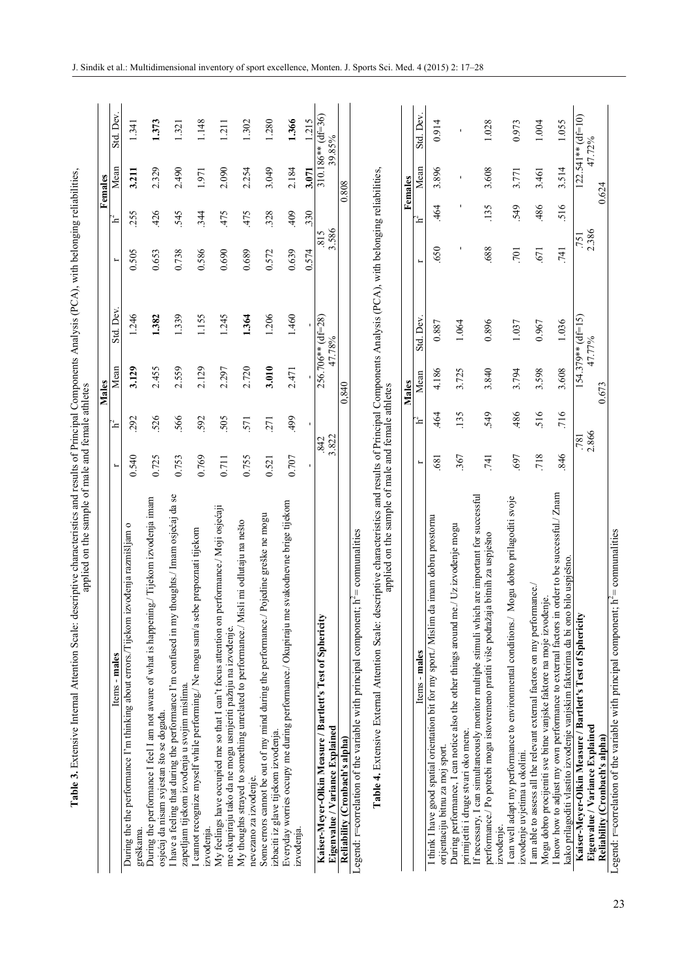|                                                                                                                                                                                                                     |              |       | Males |                     |          |                | Females |                     |
|---------------------------------------------------------------------------------------------------------------------------------------------------------------------------------------------------------------------|--------------|-------|-------|---------------------|----------|----------------|---------|---------------------|
| Items - males                                                                                                                                                                                                       | $\vdash$     | $h^2$ | Mean  | Std. Dev            | $\vdash$ | $\mathbf{h}^2$ | Mean    | Std. Dev.           |
| $\circ$<br>izvođenja razmišljam<br>During the the performance I'm thinking about errors./Tijekom<br>greškama.                                                                                                       | 0.540        | 292   | 3.129 | 1.246               | 0.505    | 255            | 3.211   | 1.341               |
| During the performance I feel I am not aware of what is happening./ Tijekom izvodenja imam                                                                                                                          |              |       |       |                     |          |                |         |                     |
| osjećaj da nisam svjestan što se događa.                                                                                                                                                                            | 0.725        | 526   | 2.455 | 1.382               | 0.653    | 426            | 2.329   | 1.373               |
| thoughts./ Imam osjećaj da se<br>I have a feeling that during the performance I'm confused in my                                                                                                                    | 0.753        | 566   | 2.559 | 1.339               | 0.738    | 545            | 2.490   | 1.321               |
| be prepoznati tijekom<br>I cannot recognize myself while performing./ Ne mogu sam/a se<br>zapetljam tijekom izvođenja u svojim mislima.                                                                             |              |       |       |                     |          |                |         |                     |
| izvođenja.                                                                                                                                                                                                          | 0.769        | 592   | 2.129 | 1.155               | 0.586    | 344            | 1.971   | 1.148               |
| performance./ Moji osjećaji<br>My feelings have occupied me so that I can't focus attention on<br>me okupiraju tako da ne mogu usmjeriti pažnju na izvođenje.                                                       | 0.711        | 505   | 2.297 | 1.245               | 0.690    | 475            | 2.090   | 1.211               |
| My thoughts strayed to something unrelated to performance./ Misli mi odlutaju na nešto                                                                                                                              | 0.755        | 571   | 2.720 | 1.364               | 0.689    | 475            | 2.254   | 1.302               |
| nevezano za izvođenje.                                                                                                                                                                                              |              |       |       |                     |          |                |         |                     |
| Pojedine greške ne mogu<br>Some errors cannot be out of my mind during the performance./<br>izbaciti iz glave tijekom izvođenja.                                                                                    | 0.521        | 271   | 3.010 | 1.206               | 0.572    | 328            | 3.049   | 1.280               |
| e svakodnevne brige tijekom<br>Everyday worries occupy me during performance./ Okupiraju m<br>izvođenja.                                                                                                            | 0.707        | 499   | 2.471 | 1.460               | 0.639    | 409            | 2.184   | 1.366               |
|                                                                                                                                                                                                                     |              | I.    |       |                     | 0.574    | 330            | 3.071   | 1.215               |
| Kaiser-Meyer-Olkin Measure / Bartlett's Test of Sphericity                                                                                                                                                          | 842          |       |       | 256.706** (df=28)   | 815      |                |         | 310.186** (df=36)   |
| Eigenvalue / Variance Explained                                                                                                                                                                                     | 3.822        |       |       | 47.78%              | 3.586    |                |         | 39.85%              |
| Reliability (Cronbach's alpha)                                                                                                                                                                                      |              |       | 0,840 |                     |          |                | 0.808   |                     |
| Legend: r=correlation of the variable with principal component; $h^2$ = communalities                                                                                                                               |              |       |       |                     |          |                |         |                     |
| escriptive characteristics and results of Principal Components Analysis (PCA), with belonging reliabilities,<br>applied on the sample of male and female athletes<br>Table 4. Extensive External Attention Scale: d |              |       |       |                     |          |                |         |                     |
|                                                                                                                                                                                                                     |              | Males |       |                     |          |                | Females |                     |
| Items - males                                                                                                                                                                                                       | H            | ີ≃    | Mean  | Std. Dev            | ۳        | $\mathbf{h}^2$ | Mean    | Std. Dev.           |
| da imam dobru prostornu<br>I think I have good spatial orientation bit for my sport./ Mislim<br>orijentaciju bitnu za moj sport.                                                                                    | 681          | 464   | 4.186 | 0.887               | 650      | 464            | 3.896   | 0.914               |
| ne./ Uz izvođenje mogu<br>During performance, I can notice also the other things around n<br>primijetiti i druge stvari oko mene.                                                                                   | 367          | 135   | 3.725 | 1.064               |          |                |         | f,                  |
| If necessary, I can simultaneously monitor multiple stimuli which are important for successful<br>performance./ Po potrebi mogu istovremeno pratiti više podražaja bitnih za uspješno                               | 741          | 549   | 3.840 | 0.896               | 688      | 135            | 3.608   | 1.028               |
| Mogu dobro prilagoditi svoje<br>I can well adapt my performance to environmental conditions./<br>izvođenje uvjetima u okolini.<br>izvođenje.                                                                        | 697          | 486   | 3.794 | 1.037               | .701     | 549            | 3.771   | 0.973               |
| I am able to assess all the relevant external factors on my performance./<br>Mogu dobro procijeniti sve bitne vanjske faktore na moje izvođenje.                                                                    | 718          | 516   | 3.598 | 0.967               | .671     | 486            | 3.461   | 1.004               |
| I know how to adjust my own performance to external factors in order to be successful./ Znam<br>kako prilagoditi vlastito izvođenje vanjskim faktorima da bi ono bilo uspješno.                                     | 846          | 716   | 3.608 | 1.036               | 741      | 516            | 3.514   | 1.055               |
| Kaiser-Meyer-Olkin Measure / Bartlett's Test of Sphericity                                                                                                                                                          |              |       |       | $154.379**$ (df=15) | .751     |                |         | $122.541**$ (df=10) |
| Eigenvalue / Variance Explained                                                                                                                                                                                     | 781<br>2.866 |       |       | 47.77%              | 2.386    |                |         | 47.72%              |
| Reliability (Cronbach's alpha)                                                                                                                                                                                      |              | 0.673 |       |                     |          |                | 0.624   |                     |

Legend: r=correlation of the variable with principal component;  $h^2$ = communalities Legend: r=correlation of the variable with principal component;  $h^2$ = comnunalities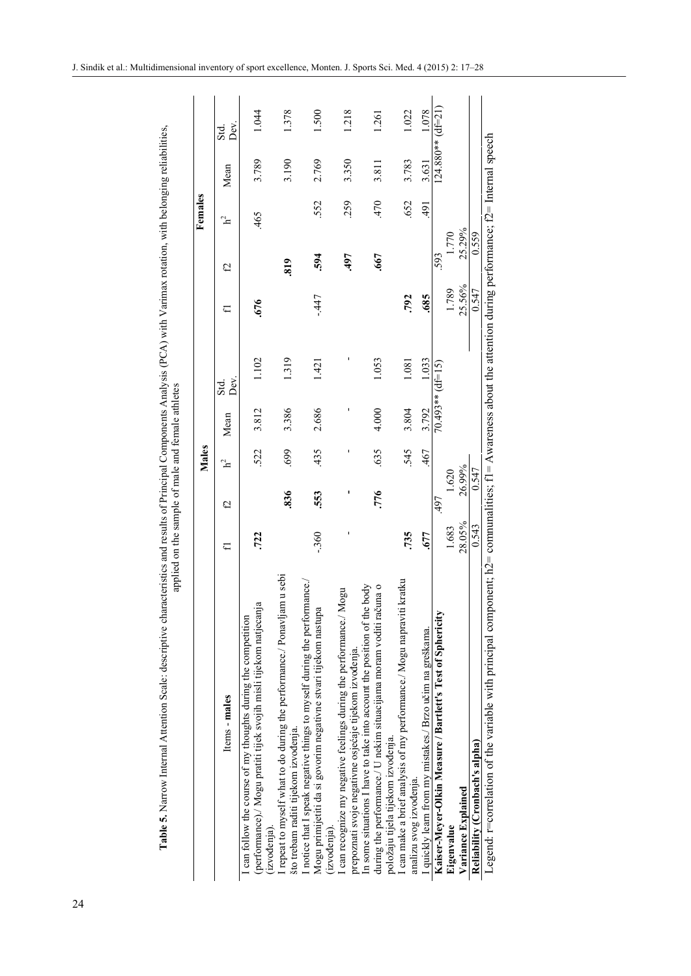|                                                                                                                                                                                                                                   | Females |  |
|-----------------------------------------------------------------------------------------------------------------------------------------------------------------------------------------------------------------------------------|---------|--|
| characteristics and results of Principal Components Analysis (PCA) with Varimax rotation, with belonging reliabilities,<br>applied on the sample of male and female athletes<br>able 5. Narrow Internal Attention Scale: descript | Males   |  |

|                                                                                                                                                                                         |        |        | Males |       |                    |        |        | Females        |       |                        |
|-----------------------------------------------------------------------------------------------------------------------------------------------------------------------------------------|--------|--------|-------|-------|--------------------|--------|--------|----------------|-------|------------------------|
| Items - males                                                                                                                                                                           | ⋤      | C)     | հ     | Mean  | Deν.<br>Std.       | ⋤      | e)     | $\mathbf{h}^2$ | Mean  | Ďεν<br>S <sub>td</sub> |
| (performance)./ Mogu pratiti tijek svojih misli tijekom natjecanja<br>can follow the course of my thoughts during the competition<br>$(xvodenia)$ .                                     | .722   |        | 522   | 3.812 | 1.102              | .676   |        | 465            | 3.789 | 1.044                  |
| repeat to myself what to do during the performance./ Ponavljam u sebi<br>što trebam raditi tijekom izvođenja.                                                                           |        | 836    | 699   | 3.386 | 1.319              |        | 819    |                | 3.190 | 1.378                  |
| I notice that I speak negative things to myself during the performance.<br>Mogu primijetiti da si govorim negativne stvari tijekom nastupa<br>(izvođenja).                              | $-360$ | 553    | 435   | 2.686 | 1.421              | $-447$ | 594    | 552            | 2.769 | 1.500                  |
| can recognize my negative feelings during the performance./ Mogu<br>prepoznati svoje negativne osjećaje tijekom izvođenja.                                                              |        |        |       |       |                    |        | .497   | 259            | 3.350 | 1.218                  |
| In some situations I have to take into account the position of the body<br>una o<br>during the performance./ U nekim situacijama moram voditi rač<br>položaju tijela tijekom izvođenja. |        | .776   | 635   | 4.000 | 1.053              |        | .667   | 470            | 3.811 | 1.261                  |
| kratku<br>I can make a brief analysis of my performance./ Mogu napraviti<br>analizu svog izvođenja.                                                                                     | .735   |        | 545   | 3.804 | 1.081              | .792   |        | .652           | 3.783 | 1.022                  |
| I quickly learn from my mistakes./ Brzo učim na greškama.                                                                                                                               | .677   |        | .467  | 3.792 | 1.033              | .685   |        | 491            | 3.631 | 1.078                  |
| Kaiser-Meyer-Olkin Measure / Bartlett's Test of Sphericity                                                                                                                              |        | 497    |       |       | $70.493**$ (df=15) |        | 593    |                |       | $124.880**$ (df=21)    |
| Eigenvalue                                                                                                                                                                              | 1.683  | 1.620  |       |       |                    | 1.789  | 1.770  |                |       |                        |
| Variance Explained                                                                                                                                                                      | 28.05% | 26.99% |       |       |                    | 25.56% | 25.29% |                |       |                        |
| Reliability (Cronbach's alpha)                                                                                                                                                          | 0.543  | 0.547  |       |       |                    | 0.547  | 0.559  |                |       |                        |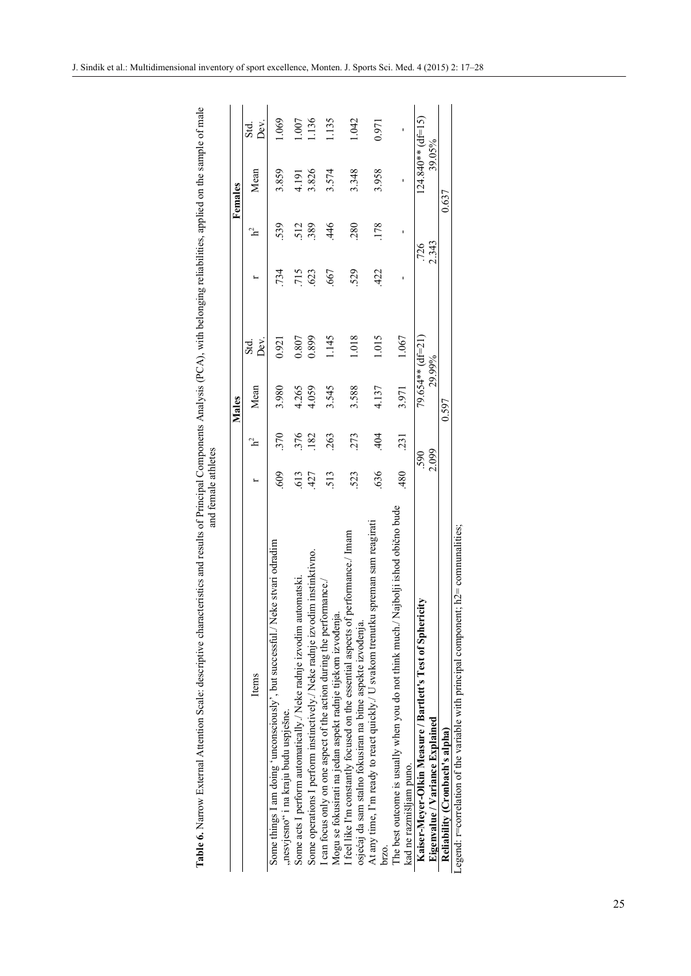| Table 6. Narrow External Attention Scale: descriptive characteristics and results of Principal Components Analysis (PCA), with belonging reliabilities, applied on the sample of male | and female athletes |     |                  |              |     |              |                               |             |
|---------------------------------------------------------------------------------------------------------------------------------------------------------------------------------------|---------------------|-----|------------------|--------------|-----|--------------|-------------------------------|-------------|
|                                                                                                                                                                                       |                     |     | Males            |              |     |              | Females                       |             |
| Items                                                                                                                                                                                 |                     |     | Mean             | Dεν.<br>Std. |     |              | Mean                          | Ďεν<br>Std. |
| Some things I am doing 'unconsciously', but successful./ Neke stvari odradim<br>"nesvjesno" i na kraju budu uspješne.                                                                 | 609                 | 370 | 3.980            | 0.921        | 734 | 539          | 3.859                         | 1.069       |
| Some acts I perform automatically./ Neke radnje izvodim automatski.                                                                                                                   | 613                 | 376 | 4.265            | 0.807        | 715 | 512          | 4.191                         | 1.007       |
| Some operations I perform instinctively. Neke radnie izvodim instinktivno.                                                                                                            | 427                 | 182 | 4.059            | 0.899        | 623 | 389          | 3.826                         | 1.136       |
| I can focus only on one aspect of the action during the performance./<br>Mogu se fokusirati na jedan aspekt radnje tijekom izvođenja                                                  | 513                 | 263 | 3.545            | 1.145        | 667 | 446          | 3.574                         | 1.135       |
| feel like I'm constantly focused on the essential aspects of performance./ Imam<br>osjećaj da sam stalno fokusiran na bitne aspekte izvođenja.                                        | 523                 | 273 | 3.588            | 1.018        | 529 | 280          | 3.348                         | 1.042       |
| At any time, I'm ready to react quickly./ U svakom trenutku spreman sam reagirati                                                                                                     | 636                 | 404 | 4.137            | 1.015        | 422 | 178          | 3.958                         | 0.971       |
| The best outcome is usually when you do not think much./ Najbolji ishod obično bude<br>kad ne razmišljam puno.                                                                        | 480                 | 231 | 3.971            | 1.067        |     |              | ı                             |             |
| ricity<br>Kaiser-Meyer-Olkin Measure / Bartlett's Test of Spher<br>Eigenvalue / Variance Explained                                                                                    | 2.099<br>590        |     | 79.654** (df=21) | 29.99%       |     | 2.343<br>726 | $124.840**$ (df=15)<br>39.05% |             |
| Reliability (Cronbach's alpha)                                                                                                                                                        |                     |     | 0.597            |              |     |              | 0.637                         |             |
| Legend: $r =$ correlation of the variable with principal component; $h2 =$ communalities;                                                                                             |                     |     |                  |              |     |              |                               |             |

| 1<br>$\overline{\phantom{a}}$<br>֚֚֬<br>s<br>2<br>i<br>;<br>i<br>C<br>C<br>ſ<br>ļ<br>netano.<br>I<br>1<br>I | j |
|-------------------------------------------------------------------------------------------------------------|---|
|-------------------------------------------------------------------------------------------------------------|---|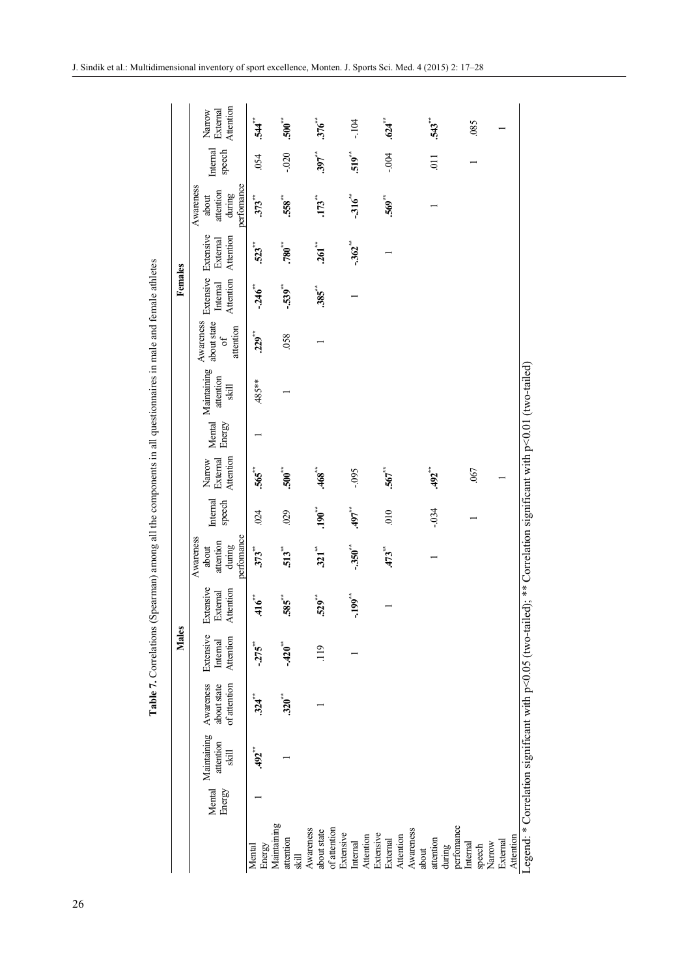|              | Attention<br>External<br>Narrow                              | .544                            | $.500**$             | $376$ <sup>**</sup>      | $-104$                                | .624                               |                        | $543$ <sup>**</sup> |                       | .085               |        |                       |                                                                                                                 |
|--------------|--------------------------------------------------------------|---------------------------------|----------------------|--------------------------|---------------------------------------|------------------------------------|------------------------|---------------------|-----------------------|--------------------|--------|-----------------------|-----------------------------------------------------------------------------------------------------------------|
|              | Internal<br>speech                                           | .054                            | $-0.020$             | $.397$ **                | $519$ <sup>**</sup>                   | $-0.004$                           |                        | $\overline{0}$      |                       |                    |        |                       |                                                                                                                 |
|              | performance<br>Awareness<br>attention<br>during<br>about     | $373$ **                        | .558                 | $.173**$                 | $-316$                                | .569'''                            |                        |                     |                       |                    |        |                       |                                                                                                                 |
|              | Extensive<br>Attention<br>External                           | .523                            | $.780***$            | $.261**$                 | $-362$                                |                                    |                        |                     |                       |                    |        |                       |                                                                                                                 |
| Females      | Extensive<br>Attention<br>Internal                           | $-246$                          | $-539$ <sup>**</sup> | $.385$ <sup>**</sup>     |                                       |                                    |                        |                     |                       |                    |        |                       |                                                                                                                 |
|              | Awareness<br>about state<br>attention<br>of                  | $229^{**}$                      | .058                 |                          |                                       |                                    |                        |                     |                       |                    |        |                       |                                                                                                                 |
|              | Mental Maintaining<br>attention<br>$\overline{\text{skill}}$ | .485**                          |                      |                          |                                       |                                    |                        |                     |                       |                    |        |                       |                                                                                                                 |
|              | Energy                                                       |                                 |                      |                          |                                       |                                    |                        |                     |                       |                    |        |                       |                                                                                                                 |
|              | Attention<br>Narrow<br>External                              | .565                            | $.500**$             | $.468**$                 | $-0.095$                              | $.567***$                          |                        | .492                |                       | .067               |        |                       |                                                                                                                 |
|              | Internal<br>speech                                           | 024                             | 029                  | $190^{**}$               | $-497$                                | 010                                |                        | $-0.34$             |                       |                    |        |                       |                                                                                                                 |
|              | performance<br>Awareness<br>attention<br>during<br>about     | $373$ <sup>***</sup>            | $513$ <sup>**</sup>  | $321$ <sup>**</sup>      | $-350$ <sup>**</sup>                  | $.473$ **                          |                        |                     |                       |                    |        |                       |                                                                                                                 |
|              | Extensive<br>Attention<br>External                           | $.416$ <sup>**</sup>            | .585                 | $529^{**}$               | $-199^{**}$                           |                                    |                        |                     |                       |                    |        |                       |                                                                                                                 |
| <b>Males</b> | Extensive<br>Attention<br>Internal                           | $-275$                          | $-420$ <sup>**</sup> | 119                      |                                       |                                    |                        |                     |                       |                    |        |                       |                                                                                                                 |
|              | Awareness<br>of attention<br>about state                     | $.324$ <sup>**</sup>            | $320^{**}$           |                          |                                       |                                    |                        |                     |                       |                    |        |                       |                                                                                                                 |
|              | Maintaining<br>attention<br>$\sin$                           | .492                            |                      |                          |                                       |                                    |                        |                     |                       |                    |        |                       |                                                                                                                 |
|              | Mental<br>Energy                                             |                                 |                      |                          |                                       |                                    |                        |                     |                       |                    |        |                       |                                                                                                                 |
|              |                                                              | Energy<br>Maintaining<br>Mental | attention<br>skill   | Awareness<br>about state | of attention<br>Extensive<br>Internal | Extensive<br>Attention<br>External | Awareness<br>Attention | attention<br>about  | performance<br>during | Internal<br>speech | Narrow | Attention<br>External | Legend: * Correlation significant with p<0.05 (two-tailed); ** Correlation significant with p<0.01 (two-tailed) |

Table 7. Correlations (Spearman) among all the components in all questionnaires in male and female athletes **Table 7.** Correlations (Spearman) among all the components in all questionnaires in male and female athletes